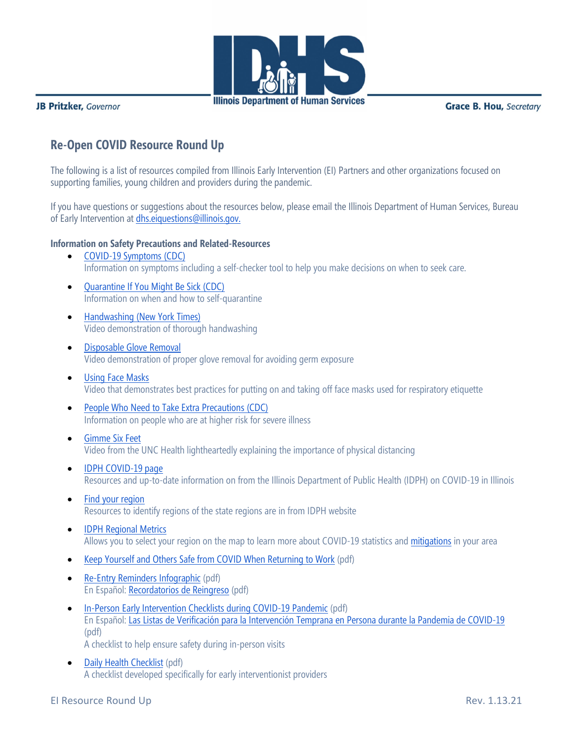

**Illinois Department of Human Services** 

JB Pritzker, Governor

**Grace B. Hou, Secretary** 

# **Re-Open COVID Resource Round Up**

The following is a list of resources compiled from Illinois Early Intervention (EI) Partners and other organizations focused on supporting families, young children and providers during the pandemic.

If you have questions or suggestions about the resources below, please email the Illinois Department of Human Services, Bureau of Early Intervention at [dhs.eiquestions@illinois.gov.](mailto:dhs.eiquestions@illinois.gov)

#### **Information on Safety Precautions and Related-Resources**

- [COVID-19 Symptoms \(CDC\)](https://www.cdc.gov/coronavirus/2019-ncov/symptoms-testing/symptoms.html) Information on symptoms including a self-checker tool to help you make decisions on when to seek care.
- [Quarantine If You Might Be Sick \(CDC\)](https://www.cdc.gov/coronavirus/2019-ncov/if-you-are-sick/quarantine.html) Information on when and how to self-quarantine
- [Handwashing \(New York Times\)](https://www.nytimes.com/video/well/100000007053726/wash-your-hands-coronavirus.html) Video demonstration of thorough handwashing
- [Disposable Glove Removal](https://youtu.be/niczVpYMqJU) Video demonstration of proper glove removal for avoiding germ exposure
- [Using Face Masks](https://www.youtube.com/watch?v=3n2xHwrJPvs&feature=youtu.be) Video that demonstrates best practices for putting on and taking off face masks used for respiratory etiquette
- [People Who Need to Take Extra Precautions \(CDC\)](https://www.cdc.gov/coronavirus/2019-ncov/need-extra-precautions/people-at-higher-risk.html) Information on people who are at higher risk for severe illness
- [Gimme Six Feet](https://youtu.be/XjfCeY4D2QI) Video from the UNC Health lightheartedly explaining the importance of physical distancing
- [IDPH COVID-19 page](https://dph.illinois.gov/covid19) Resources and up-to-date information on from the Illinois Department of Public Health (IDPH) on COVID-19 in Illinois
- [Find your region](https://dph.illinois.gov/contact-us/idph-regional-health-departments) Resources to identify regions of the state regions are in from IDPH website
- **[IDPH Regional Metrics](https://dph.illinois.gov/regionmetrics)** Allows you to select your region on the map to learn more about COVID-19 statistics an[d](https://coronavirus.illinois.gov/s/restore-illinois-mitigation-plan) [mitigations](https://coronavirus.illinois.gov/s/restore-illinois-mitigation-plan) in your area
- [Keep Yourself and Others Safe from COVID When Returning to Work](https://blogs.illinois.edu/files/6039/2005675365/175394.pdf) (pdf)
- [Re-Entry Reminders Infographic](https://blogs.illinois.edu/files/6039/2005675365/175788.pdf) (pdf) En Español: [Recordatorios de Reingreso](https://eitp.education.illinois.edu/Files/COVID19/PledgeSPAN.pdf) (pdf)
- [In-Person Early Intervention Checklists during COVID-19 Pandemic](https://eitp.education.illinois.edu/Files/COVID19/ReEntryChecklists.pdf) (pdf) En Español: [Las Listas de Verificación para la Intervención Temprana en Persona durante la Pandemia de COVID-19](https://eitp.education.illinois.edu/Files/COVID19/ReEntryChecklistsSPAN.pdf) (pdf) A checklist to help ensure safety during in-person visits
- [Daily Health Checklist](https://blogs.illinois.edu/files/6039/2005675365/175792.pdf) (pdf) A checklist developed specifically for early interventionist providers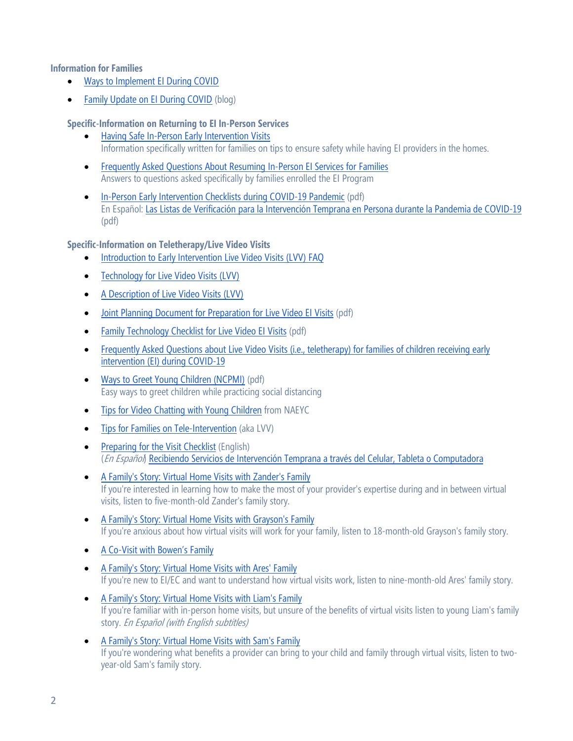#### **Information for Families**

- [Ways to Implement EI During COVID](https://eiclearinghouse.org/einotes/telehealth-implement/)
- [Family Update on EI During COVID](https://eiclearinghouse.org/everyday/family-update-covid-19/) (blog)

### **Specific-Information on Returning to EI In-Person Services**

- [Having Safe In-Person Early Intervention Visits](https://eiclearinghouse.org/einotes/safe-visits/) Information specifically written for families on tips to ensure safety while having EI providers in the homes.
- [Frequently Asked Questions About Resuming In-Person EI Services for Families](https://eiclearinghouse.org/everyday/faq-inperson-visits/) Answers to questions asked specifically by families enrolled the EI Program
- [In-Person Early Intervention Checklists during COVID-19 Pandemic](https://eitp.education.illinois.edu/Files/COVID19/ReEntryChecklists.pdf) (pdf) En Español: [Las Listas de Verificación para la Intervención Temprana en Persona](https://eitp.education.illinois.edu/Files/COVID19/ReEntryChecklistsSPAN.pdf) durante la Pandemia de COVID-19 (pdf)

#### **Specific-Information on Teletherapy/Live Video Visits**

- [Introduction to Early Intervention Live Video Visits \(LVV\) FAQ](https://eiclearinghouse.org/einotes/telehealth-intro/)
- [Technology for Live Video Visits \(LVV\)](https://eiclearinghouse.org/einotes/telehealth-technology/)
- [A Description of Live Video Visits \(LVV\)](https://eiclearinghouse.org/einotes/telehealth-description/)
- [Joint Planning Document](https://blogs.illinois.edu/files/6150/807741/170327.pdf) for Preparation [for Live Video EI Visits](https://blogs.illinois.edu/files/6150/807741/170327.pdf) (pdf)
- [Family Technology Checklist](https://blogs.illinois.edu/files/6150/807741/170536.pdf) [for Live Video](https://blogs.illinois.edu/files/6150/807741/170536.pdf) El Visits (pdf)
- Frequently Asked Questions about Live Video Visits (i.e., teletherapy) for families of children receiving early [intervention \(EI\) during COVID-19](https://www2.illinois.gov/sites/OECD/Documents/EI%20FAQs%20for%20Families%20about%20Live%20Video%20Visits.pdf)
- [Ways to Greet Young Children \(NCPMI\)](https://challengingbehavior.cbcs.usf.edu/docs/Greeting-Board_EN-SP.pdf) (pdf) Easy ways to greet children while practicing social distancing
- [Tips for Video Chatting with Young Children](https://www.naeyc.org/our-work/families/tips-video-chatting-young-children) from NAEYC
- [Tips for Families on Tele-Intervention](http://fgrbi.com/wp-content/uploads/2020/04/Early-Intervention-Tele-Intervention-Tips-for-Families-4-3-20.pdf) (aka LVV)
- [Preparing for the Visit Checklist](https://ecpcta.org/wp-content/uploads/sites/2810/2020/03/Tips-for-Families-Remote-Home-Visit-Flyer-pg2.pdf) (English) (En Español) [Recibiendo Servicios de Intervención Temprana a través del Celular, Tableta o Computadora](https://ecpcta.org/wp-content/uploads/sites/2810/2020/03/Spanish-TipsforFamiliesFlyerSPApg2.pdf)
- [A Family's Story: Virtual Home Visits with Zander's Family](https://ectacenter.org/topics/disaster/ti-service.asp#familyprep) If you're interested in learning how to make the most of your provider's expertise during and in between virtual visits, listen to five-month-old Zander's family story.
- [A Family's Story: Virtual Home Visits with Grayson's Family](https://ectacenter.org/topics/disaster/ti-service.asp#familyprep) If you're anxious about how virtual visits will work for your family, listen to 18-month-old Grayson's family story.
- [A Co-Visit with Bowen's Family](http://fgrbi.com/mobile-coaching/)
- [A Family's Story: Virtual Home Visits with Ares' Family](https://ectacenter.org/topics/disaster/ti-service.asp#familyprep) If you're new to EI/EC and want to understand how virtual visits work, listen to nine-month-old Ares' family story.
- [A Family's Story: Virtual Home Visits with Liam's Family](https://ectacenter.org/topics/disaster/ti-service.asp#familyprep) If you're familiar with in-person home visits, but unsure of the benefits of virtual visits listen to young Liam's family story. En Español (with English subtitles)
- [A Family's Story: Virtual Home Visits with Sam's Family](https://ectacenter.org/topics/disaster/ti-service.asp#familyprep) If you're wondering what benefits a provider can bring to your child and family through virtual visits, listen to twoyear-old Sam's family story.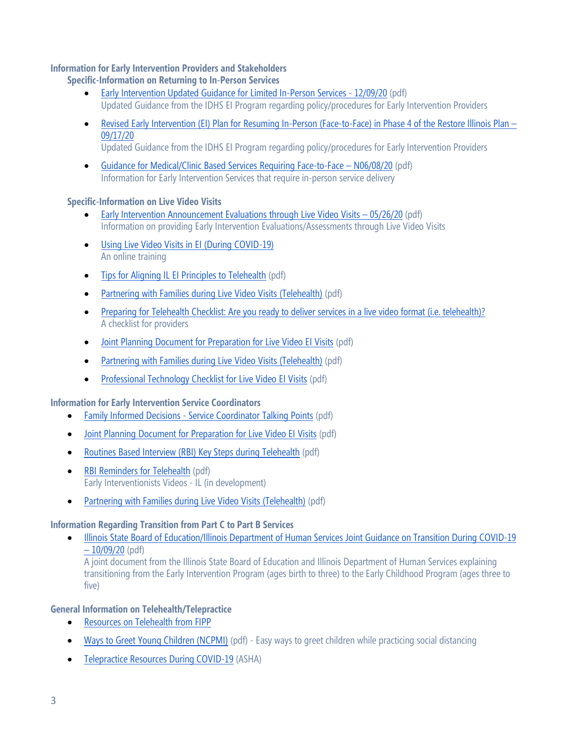### **Information for Early Intervention Providers and Stakeholders**

### **Specific-Information on Returning to In-Person Services**

- [Early Intervention Updated Guidance for Limited In-Person Services -](http://www.wiu.edu/coehs/provider_connections/pdf/Early%20Intervention%20Updated%20Guidance%20for%20Limited%20In%20Person%20Services%20120920.pdf) 12/09/20 (pdf) Updated Guidance from the IDHS EI Program regarding policy/procedures for Early Intervention Providers
- [Revised Early Intervention \(EI\) Plan for Resuming In-Person \(Face-to-Face\) in Phase 4 of the Restore Illinois Plan –](http://www.wiu.edu/coehs/provider_connections/pdf/20200917%20Revised%20EI%20Plan%20for%20Resuming%20In-Person%20Services-%20Final.pdf) [09/17/20](http://www.wiu.edu/coehs/provider_connections/pdf/20200917%20Revised%20EI%20Plan%20for%20Resuming%20In-Person%20Services-%20Final.pdf)
	- Updated Guidance from the IDHS EI Program regarding policy/procedures for Early Intervention Providers
- [Guidance for Medical/Clinic Based Services Requiring Face-to-Face –](http://www.wiu.edu/coehs/provider_connections/pdf/MedicalClinicFaceToFace%20Guidance-060820%20Final.pdf) N06/08/20 (pdf) Information for Early Intervention Services that require in-person service delivery

### **Specific-Information on Live Video Visits**

- [Early Intervention Announcement Evaluations through Live Video Visits –](http://www.wiu.edu/coehs/provider_connections/pdf/Announcement%20of%20Evals%20through%20LVV%20-%2005-26-20.pdf) 05/26/20 (pdf) Information on providing Early Intervention Evaluations/Assessments through Live Video Visits
- [Using Live Video Visits in EI \(During COVID-19\)](http://www.cvent.com/d/0nqr11) An online training
- [Tips for Aligning IL EI Principles to Telehealth](https://blogs.illinois.edu/files/6150/807741/171255.pdf) (pdf)
- [Partnering with Families during Live Video Visits \(Telehealth\)](https://eitp.education.illinois.edu/Files/COVID19/LVVtips.pdf) (pdf)
- [Preparing for Telehealth Checklist: Are you ready to deliver services in a live video format \(i.e. telehealth\)?](https://blogs.illinois.edu/files/6150/807741/171257.pdf) A checklist for providers
- [Joint Planning Document](https://blogs.illinois.edu/files/6150/807741/170327.pdf) [for Preparation for Live Video EI Visits](https://blogs.illinois.edu/files/6150/807741/170327.pdf) (pdf)
- [Partnering with Families during Live Video Visits \(Telehealth\)](https://eitp.education.illinois.edu/Files/COVID19/LVVtips.pdf) (pdf)
- [Professional Technology Checklist](https://blogs.illinois.edu/files/6150/807741/170537.pdf) [for Live Video EI Visits](https://blogs.illinois.edu/files/6150/807741/170537.pdf) (pdf)

### **Information for Early Intervention Service Coordinators**

- Family Informed Decisions [Service Coordinator Talking Points](https://eitp.education.illinois.edu/Files/COVID19/SCTalkingPts.pdf) (pdf)
- [Joint Planning Document](https://blogs.illinois.edu/files/6150/807741/170327.pdf) [for Preparation for Live Video EI Visits](https://blogs.illinois.edu/files/6150/807741/170327.pdf) (pdf)
- [Routines Based Interview \(RBI\) Key Steps during Telehealth](https://eitp.education.illinois.edu/Files/COVID19/RBItelehealth.pdf) (pdf)
- [RBI Reminders for Telehealth](https://eitp.education.illinois.edu/Files/COVID19/RBIreminders.pdf) (pdf) Early Interventionists Videos - IL (in development)
- [Partnering with Families during Live Video Visits \(Telehealth\)](https://eitp.education.illinois.edu/Files/COVID19/LVVtips.pdf) (pdf)

# **Information Regarding Transition from Part C to Part B Services**

• [Illinois State Board of Education/Illinois Department of Human Services Joint Guidance on Transition During COVID-19](http://www.wiu.edu/coehs/provider_connections/pdf/EI%20to%20ECSE%20Transition%20COVID%2010-9.pdf)  – [10/09/20](http://www.wiu.edu/coehs/provider_connections/pdf/EI%20to%20ECSE%20Transition%20COVID%2010-9.pdf) (pdf)

A joint document from the Illinois State Board of Education and Illinois Department of Human Services explaining transitioning from the Early Intervention Program (ages birth to three) to the Early Childhood Program (ages three to five)

# **General Information on Telehealth/Telepractice**

- [Resources on Telehealth from FIPP](https://www.assurethefuture.org/tele-intervention.html)
- [Ways to Greet Young Children \(NCPMI\)](https://challengingbehavior.cbcs.usf.edu/docs/Greeting-Board_EN-SP.pdf) (pdf) Easy ways to greet children while practicing social distancing
- [Telepractice Resources During COVID-19](https://www.asha.org/About/Telepractice-Resources-During-COVID-19/) (ASHA)